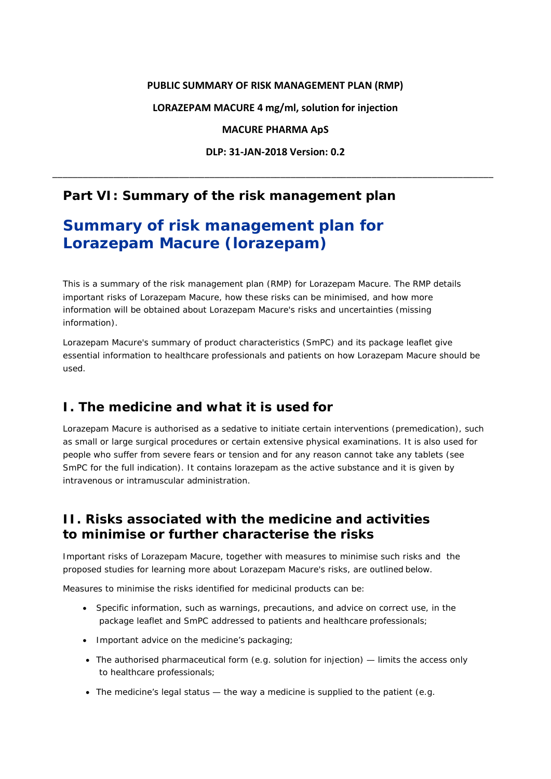#### **PUBLIC SUMMARY OF RISK MANAGEMENT PLAN (RMP)**

**LORAZEPAM MACURE 4 mg/ml, solution for injection**

**MACURE PHARMA ApS**

**DLP: 31-JAN-2018 Version: 0.2**

\_\_\_\_\_\_\_\_\_\_\_\_\_\_\_\_\_\_\_\_\_\_\_\_\_\_\_\_\_\_\_\_\_\_\_\_\_\_\_\_\_\_\_\_\_\_\_\_\_\_\_\_\_\_\_\_\_\_\_\_\_\_\_\_\_\_\_\_\_\_\_\_\_\_\_\_\_\_\_\_\_\_\_\_\_\_\_

## **Part VI: Summary of the risk management plan**

# **Summary of risk management plan for Lorazepam Macure (lorazepam)**

This is a summary of the risk management plan (RMP) for Lorazepam Macure. The RMP details important risks of Lorazepam Macure, how these risks can be minimised, and how more information will be obtained about Lorazepam Macure's risks and uncertainties (missing information).

Lorazepam Macure's summary of product characteristics (SmPC) and its package leaflet give essential information to healthcare professionals and patients on how Lorazepam Macure should be used.

## **I. The medicine and what it is used for**

Lorazepam Macure is authorised as a sedative to initiate certain interventions (premedication), such as small or large surgical procedures or certain extensive physical examinations. It is also used for people who suffer from severe fears or tension and for any reason cannot take any tablets (see SmPC for the full indication). It contains lorazepam as the active substance and it is given by intravenous or intramuscular administration.

## **II. Risks associated with the medicine and activities to minimise or further characterise the risks**

Important risks of Lorazepam Macure, together with measures to minimise such risks and the proposed studies for learning more about Lorazepam Macure's risks, are outlined below.

Measures to minimise the risks identified for medicinal products can be:

- Specific information, such as warnings, precautions, and advice on correct use, in the package leaflet and SmPC addressed to patients and healthcare professionals;
- Important advice on the medicine's packaging;
- The authorised pharmaceutical form (e.g. solution for injection) limits the access only to healthcare professionals;
- The medicine's legal status the way a medicine is supplied to the patient (e.g.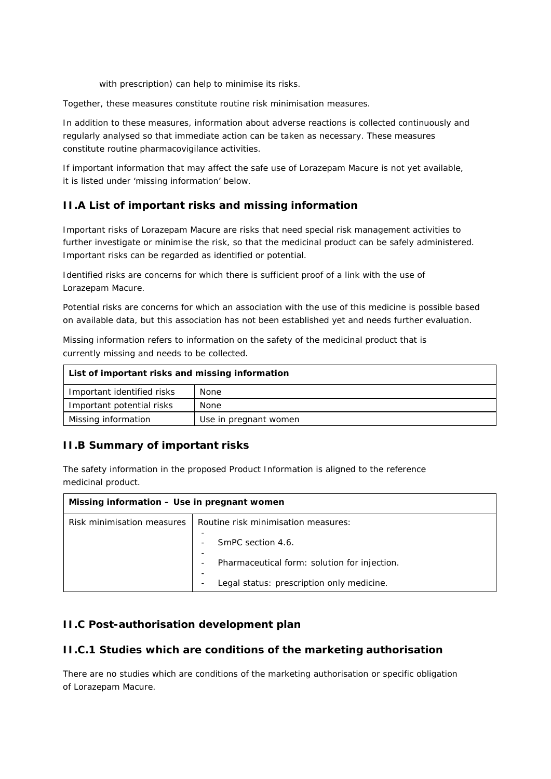with prescription) can help to minimise its risks.

Together, these measures constitute *routine risk minimisation* measures.

In addition to these measures, information about adverse reactions is collected continuously and regularly analysed so that immediate action can be taken as necessary. These measures constitute *routine pharmacovigilance activities*.

If important information that may affect the safe use of Lorazepam Macure is not yet available, it is listed under 'missing information' below.

### *II.A List of important risks and missing information*

Important risks of Lorazepam Macure are risks that need special risk management activities to further investigate or minimise the risk, so that the medicinal product can be safely administered. Important risks can be regarded as identified or potential.

Identified risks are concerns for which there is sufficient proof of a link with the use of Lorazepam Macure.

Potential risks are concerns for which an association with the use of this medicine is possible based on available data, but this association has not been established yet and needs further evaluation.

Missing information refers to information on the safety of the medicinal product that is currently missing and needs to be collected.

| List of important risks and missing information |                       |
|-------------------------------------------------|-----------------------|
| Important identified risks                      | None                  |
| Important potential risks                       | None                  |
| Missing information                             | Use in pregnant women |

#### *II.B Summary of important risks*

The safety information in the proposed Product Information is aligned to the reference medicinal product.

| Missing information - Use in pregnant women |                                                                                                          |
|---------------------------------------------|----------------------------------------------------------------------------------------------------------|
| Risk minimisation measures                  | Routine risk minimisation measures:<br>SmPC section 4.6.<br>Pharmaceutical form: solution for injection. |
|                                             | Legal status: prescription only medicine.                                                                |

#### *II.C Post-authorisation development plan*

#### **II.C.1 Studies which are conditions of the marketing authorisation**

There are no studies which are conditions of the marketing authorisation or specific obligation of Lorazepam Macure.